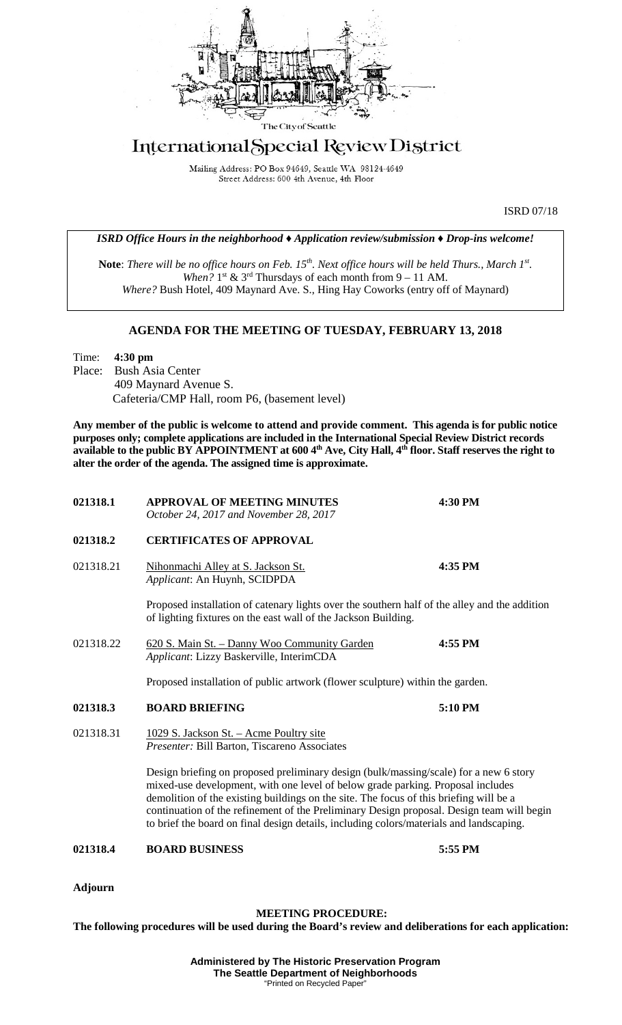

## International Special Review District

Mailing Address: PO Box 94649, Seattle WA 98124-4649 Street Address: 600 4th Avenue, 4th Floor

ISRD 07/18

*ISRD Office Hours in the neighborhood ♦ Application review/submission ♦ Drop-ins welcome!*

**Note**: *There will be no office hours on Feb. 15th. Next office hours will be held Thurs., March 1st. When?*  $1^{st}$  &  $3^{rd}$  Thursdays of each month from  $9 - 11$  AM. *Where?* Bush Hotel, 409 Maynard Ave. S., Hing Hay Coworks (entry off of Maynard)

## **AGENDA FOR THE MEETING OF TUESDAY, FEBRUARY 13, 2018**

Time: **4:30 pm** Place: Bush Asia Center 409 Maynard Avenue S. Cafeteria/CMP Hall, room P6, (basement level)

**Any member of the public is welcome to attend and provide comment. This agenda is for public notice purposes only; complete applications are included in the International Special Review District records available to the public BY APPOINTMENT at 600 4th Ave, City Hall, 4th floor. Staff reserves the right to alter the order of the agenda. The assigned time is approximate.** 

| 021318.1       | <b>APPROVAL OF MEETING MINUTES</b><br>October 24, 2017 and November 28, 2017                                                                                                                                                                                                                                                                                                                                                                               | 4:30 PM |
|----------------|------------------------------------------------------------------------------------------------------------------------------------------------------------------------------------------------------------------------------------------------------------------------------------------------------------------------------------------------------------------------------------------------------------------------------------------------------------|---------|
| 021318.2       | <b>CERTIFICATES OF APPROVAL</b>                                                                                                                                                                                                                                                                                                                                                                                                                            |         |
| 021318.21      | Nihonmachi Alley at S. Jackson St.<br>Applicant: An Huynh, SCIDPDA                                                                                                                                                                                                                                                                                                                                                                                         | 4:35 PM |
|                | Proposed installation of catenary lights over the southern half of the alley and the addition<br>of lighting fixtures on the east wall of the Jackson Building.                                                                                                                                                                                                                                                                                            |         |
| 021318.22      | 620 S. Main St. - Danny Woo Community Garden<br>Applicant: Lizzy Baskerville, InterimCDA                                                                                                                                                                                                                                                                                                                                                                   | 4:55 PM |
|                | Proposed installation of public artwork (flower sculpture) within the garden.                                                                                                                                                                                                                                                                                                                                                                              |         |
| 021318.3       | <b>BOARD BRIEFING</b>                                                                                                                                                                                                                                                                                                                                                                                                                                      | 5:10 PM |
| 021318.31      | 1029 S. Jackson St. - Acme Poultry site<br>Presenter: Bill Barton, Tiscareno Associates                                                                                                                                                                                                                                                                                                                                                                    |         |
|                | Design briefing on proposed preliminary design (bulk/massing/scale) for a new 6 story<br>mixed-use development, with one level of below grade parking. Proposal includes<br>demolition of the existing buildings on the site. The focus of this briefing will be a<br>continuation of the refinement of the Preliminary Design proposal. Design team will begin<br>to brief the board on final design details, including colors/materials and landscaping. |         |
| 021318.4       | <b>BOARD BUSINESS</b>                                                                                                                                                                                                                                                                                                                                                                                                                                      | 5:55 PM |
| <b>Adjourn</b> |                                                                                                                                                                                                                                                                                                                                                                                                                                                            |         |

## **MEETING PROCEDURE:**

**The following procedures will be used during the Board's review and deliberations for each application:** 

**Administered by The Historic Preservation Program The Seattle Department of Neighborhoods** "Printed on Recycled Paper"